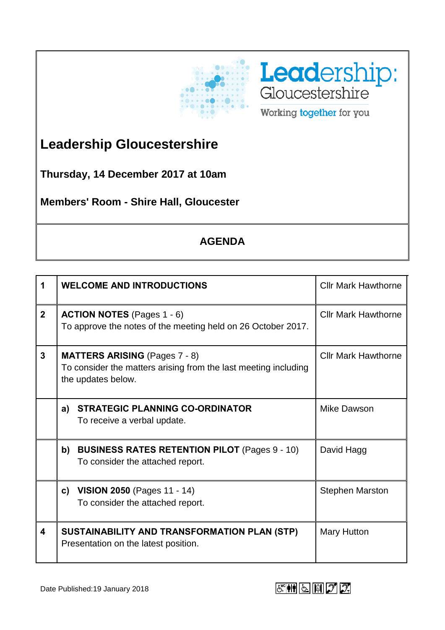



## **Leadership Gloucestershire**

**Thursday, 14 December 2017 at 10am**

**Members' Room - Shire Hall, Gloucester**

## **AGENDA**

| 1              | <b>WELCOME AND INTRODUCTIONS</b>                                                                                              | <b>Cllr Mark Hawthorne</b> |
|----------------|-------------------------------------------------------------------------------------------------------------------------------|----------------------------|
| $\overline{2}$ | <b>ACTION NOTES</b> (Pages 1 - 6)<br>To approve the notes of the meeting held on 26 October 2017.                             | <b>Cllr Mark Hawthorne</b> |
| $\overline{3}$ | <b>MATTERS ARISING</b> (Pages 7 - 8)<br>To consider the matters arising from the last meeting including<br>the updates below. | <b>Cllr Mark Hawthorne</b> |
|                | <b>STRATEGIC PLANNING CO-ORDINATOR</b><br>a)<br>To receive a verbal update.                                                   | Mike Dawson                |
|                | <b>BUSINESS RATES RETENTION PILOT (Pages 9 - 10)</b><br>b)<br>To consider the attached report.                                | David Hagg                 |
|                | <b>VISION 2050 (Pages 11 - 14)</b><br>C)<br>To consider the attached report.                                                  | <b>Stephen Marston</b>     |
| 4              | SUSTAINABILITY AND TRANSFORMATION PLAN (STP)<br>Presentation on the latest position.                                          | <b>Mary Hutton</b>         |